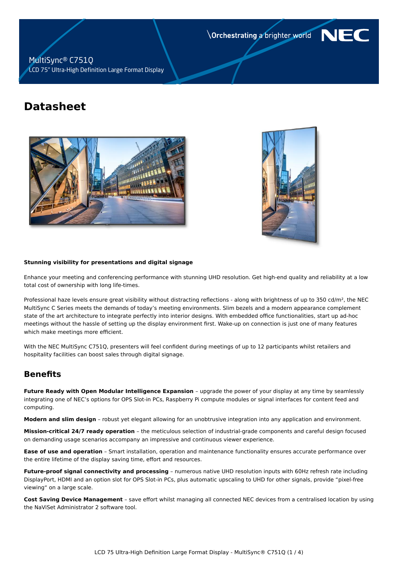Orchestrating a brighter world

# **NF**

### MultiSync® C751Q LCD 75" Ultra-High Definition Large Format Display

# **Datasheet**





#### **Stunning visibility for presentations and digital signage**

Enhance your meeting and conferencing performance with stunning UHD resolution. Get high-end quality and reliability at a low total cost of ownership with long life-times.

Professional haze levels ensure great visibility without distracting reflections - along with brightness of up to 350 cd/m², the NEC MultiSync C Series meets the demands of today's meeting environments. Slim bezels and a modern appearance complement state of the art architecture to integrate perfectly into interior designs. With embedded office functionalities, start up ad-hoc meetings without the hassle of setting up the display environment first. Wake-up on connection is just one of many features which make meetings more efficient.

With the NEC MultiSync C751Q, presenters will feel confident during meetings of up to 12 participants whilst retailers and hospitality facilities can boost sales through digital signage.

# **Benefits**

**Future Ready with Open Modular Intelligence Expansion** – upgrade the power of your display at any time by seamlessly integrating one of NEC's options for OPS Slot-in PCs, Raspberry Pi compute modules or signal interfaces for content feed and computing.

**Modern and slim design** – robust yet elegant allowing for an unobtrusive integration into any application and environment.

**Mission-critical 24/7 ready operation** – the meticulous selection of industrial-grade components and careful design focused on demanding usage scenarios accompany an impressive and continuous viewer experience.

**Ease of use and operation** – Smart installation, operation and maintenance functionality ensures accurate performance over the entire lifetime of the display saving time, effort and resources.

**Future-proof signal connectivity and processing** – numerous native UHD resolution inputs with 60Hz refresh rate including DisplayPort, HDMI and an option slot for OPS Slot-in PCs, plus automatic upscaling to UHD for other signals, provide "pixel-free viewing" on a large scale.

**Cost Saving Device Management** – save effort whilst managing all connected NEC devices from a centralised location by using the NaViSet Administrator 2 software tool.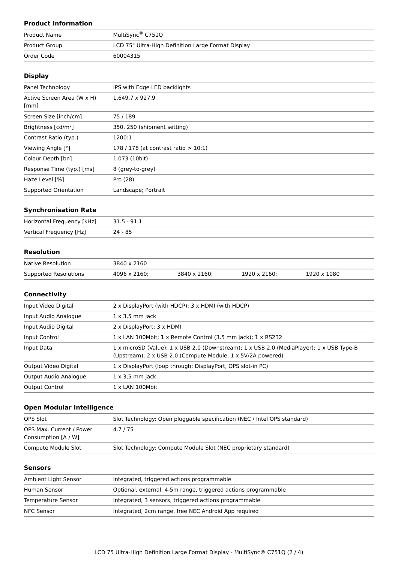## **Product Information**

| <b>Product Name</b> | MultiSync <sup>®</sup> C751Q                       |
|---------------------|----------------------------------------------------|
| Product Group       | LCD 75" Ultra-High Definition Large Format Display |
| Order Code          | 60004315                                           |

#### **Display**

| Panel Technology                   | IPS with Edge LED backlights            |
|------------------------------------|-----------------------------------------|
| Active Screen Area (W x H)<br>[mm] | 1,649.7 x 927.9                         |
| Screen Size [inch/cm]              | 75 / 189                                |
| Brightness [cd/m <sup>2</sup> ]    | 350, 250 (shipment setting)             |
| Contrast Ratio (typ.)              | 1200:1                                  |
| Viewing Angle [°]                  | 178 / 178 (at contrast ratio $> 10:1$ ) |
| Colour Depth [bn]                  | 1.073 (10bit)                           |
| Response Time (typ.) [ms]          | 8 (grey-to-grey)                        |
| Haze Level [%]                     | Pro (28)                                |
| Supported Orientation              | Landscape; Portrait                     |
|                                    |                                         |

#### **Synchronisation Rate**

| Horizontal Frequency [kHz] | 31.5 - 91.1 |
|----------------------------|-------------|
| Vertical Frequency [Hz]    | 24 - 85     |

#### **Resolution**

| Native Resolution     | 3840 x 2160  |              |              |             |
|-----------------------|--------------|--------------|--------------|-------------|
| Supported Resolutions | 4096 x 2160: | 3840 x 2160; | 1920 x 2160; | 1920 x 1080 |

#### **Connectivity**

| Input Video Digital   | 2 x DisplayPort (with HDCP); 3 x HDMI (with HDCP)                                                                                                       |  |
|-----------------------|---------------------------------------------------------------------------------------------------------------------------------------------------------|--|
| Input Audio Analogue  | $1 \times 3.5$ mm jack                                                                                                                                  |  |
| Input Audio Digital   | 2 x DisplayPort; 3 x HDMI                                                                                                                               |  |
| Input Control         | 1 x LAN 100Mbit; 1 x Remote Control (3.5 mm jack); 1 x RS232                                                                                            |  |
| Input Data            | 1 x microSD (Value); 1 x USB 2.0 (Downstream); 1 x USB 2.0 (MediaPlayer); 1 x USB Type-B<br>(Upstream); 2 x USB 2.0 (Compute Module, 1 x 5V/2A powered) |  |
| Output Video Digital  | 1 x DisplayPort (loop through: DisplayPort, OPS slot-in PC)                                                                                             |  |
| Output Audio Analogue | $1 \times 3.5$ mm jack                                                                                                                                  |  |
| <b>Output Control</b> | $1 \times$ LAN 100Mbit                                                                                                                                  |  |
|                       |                                                                                                                                                         |  |

#### **Open Modular Intelligence**

| OPS Slot                                        | Slot Technology: Open pluggable specification (NEC / Intel OPS standard) |
|-------------------------------------------------|--------------------------------------------------------------------------|
| OPS Max. Current / Power<br>Consumption [A / W] | 4.7/75                                                                   |
| Compute Module Slot                             | Slot Technology: Compute Module Slot (NEC proprietary standard)          |

#### **Sensors**

| Ambient Light Sensor | Integrated, triggered actions programmable                     |
|----------------------|----------------------------------------------------------------|
| Human Sensor         | Optional, external, 4-5m range, triggered actions programmable |
| Temperature Sensor   | Integrated, 3 sensors, triggered actions programmable          |
| NFC Sensor           | Integrated, 2cm range, free NEC Android App required           |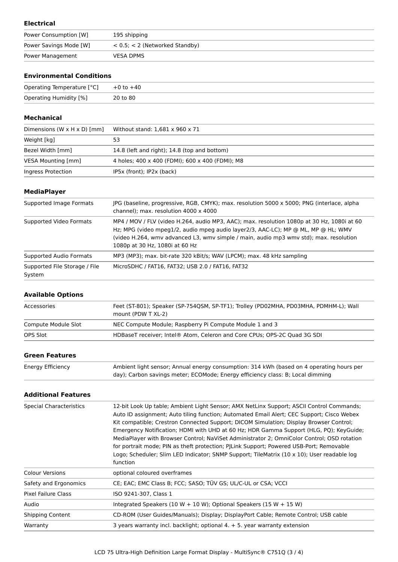#### **Electrical**

| Power Consumption [W]  | 195 shipping                        |
|------------------------|-------------------------------------|
| Power Savings Mode [W] | $< 0.5$ ; $< 2$ (Networked Standby) |
| Power Management       | <b>VESA DPMS</b>                    |

#### **Environmental Conditions**

| Operating Temperature $[°C]$ +0 to +40 |          |
|----------------------------------------|----------|
| Operating Humidity [%]                 | 20 to 80 |

#### **Mechanical**

| Dimensions (W $\times$ H $\times$ D) [mm] | Without stand: 1,681 x 960 x 71                 |
|-------------------------------------------|-------------------------------------------------|
| Weight [kg]                               | 53                                              |
| Bezel Width [mm]                          | 14.8 (left and right); 14.8 (top and bottom)    |
| VESA Mounting [mm]                        | 4 holes; 400 x 400 (FDMI); 600 x 400 (FDMI); M8 |
| Ingress Protection                        | IP5x (front); IP2x (back)                       |

#### **MediaPlayer**

| Supported Image Formats                 | JPG (baseline, progressive, RGB, CMYK); max. resolution 5000 x 5000; PNG (interlace, alpha<br>channel); max. resolution 4000 x 4000                                                                                                                                                                        |
|-----------------------------------------|------------------------------------------------------------------------------------------------------------------------------------------------------------------------------------------------------------------------------------------------------------------------------------------------------------|
| Supported Video Formats                 | MP4 / MOV / FLV (video H.264, audio MP3, AAC); max. resolution 1080p at 30 Hz, 1080i at 60<br>Hz; MPG (video mpeg1/2, audio mpeg audio layer2/3, AAC-LC); MP @ ML, MP @ HL; WMV<br>(video H.264, wmy advanced L3, wmy simple / main, audio mp3 wmy std); max. resolution<br>1080p at 30 Hz, 1080i at 60 Hz |
| Supported Audio Formats                 | MP3 (MP3); max. bit-rate 320 kBit/s; WAV (LPCM); max. 48 kHz sampling                                                                                                                                                                                                                                      |
| Supported File Storage / File<br>System | MicroSDHC / FAT16, FAT32; USB 2.0 / FAT16, FAT32                                                                                                                                                                                                                                                           |

#### **Available Options**

| Accessories         | Feet (ST-801); Speaker (SP-754QSM, SP-TF1); Trolley (PD02MHA, PD03MHA, PDMHM-L); Wall<br>mount (PDW T XL-2) |
|---------------------|-------------------------------------------------------------------------------------------------------------|
| Compute Module Slot | NEC Compute Module; Raspberry Pi Compute Module 1 and 3                                                     |
| OPS Slot            | HDBaseT receiver; Intel® Atom, Celeron and Core CPUs; OPS-2C Quad 3G SDI                                    |
|                     |                                                                                                             |

#### **Green Features**

| Energy Efficiency | Ambient light sensor; Annual energy consumption: 314 kWh (based on 4 operating hours per |
|-------------------|------------------------------------------------------------------------------------------|
|                   | day); Carbon savings meter; ECOMode; Energy efficiency class: B; Local dimming           |

#### **Additional Features**

| <b>Special Characteristics</b> | 12-bit Look Up table; Ambient Light Sensor; AMX NetLinx Support; ASCII Control Commands;<br>Auto ID assignment; Auto tiling function; Automated Email Alert; CEC Support; Cisco Webex<br>Kit compatible; Crestron Connected Support; DICOM Simulation; Display Browser Control;<br>Emergency Notification; HDMI with UHD at 60 Hz; HDR Gamma Support (HLG, PQ); KeyGuide;<br>MediaPlayer with Browser Control; NaViSet Administrator 2; OmniColor Control; OSD rotation<br>for portrait mode; PIN as theft protection; PJLink Support; Powered USB-Port; Removable<br>Logo; Scheduler; Slim LED Indicator; SNMP Support; TileMatrix (10 x 10); User readable log<br>function |
|--------------------------------|------------------------------------------------------------------------------------------------------------------------------------------------------------------------------------------------------------------------------------------------------------------------------------------------------------------------------------------------------------------------------------------------------------------------------------------------------------------------------------------------------------------------------------------------------------------------------------------------------------------------------------------------------------------------------|
| Colour Versions                | optional coloured overframes                                                                                                                                                                                                                                                                                                                                                                                                                                                                                                                                                                                                                                                 |
| Safety and Ergonomics          | CE; EAC; EMC Class B; FCC; SASO; TÜV GS; UL/C-UL or CSA; VCCI                                                                                                                                                                                                                                                                                                                                                                                                                                                                                                                                                                                                                |
| Pixel Failure Class            | ISO 9241-307, Class 1                                                                                                                                                                                                                                                                                                                                                                                                                                                                                                                                                                                                                                                        |
| Audio                          | Integrated Speakers (10 W + 10 W); Optional Speakers (15 W + 15 W)                                                                                                                                                                                                                                                                                                                                                                                                                                                                                                                                                                                                           |
| <b>Shipping Content</b>        | CD-ROM (User Guides/Manuals); Display; DisplayPort Cable; Remote Control; USB cable                                                                                                                                                                                                                                                                                                                                                                                                                                                                                                                                                                                          |
| Warranty                       | 3 years warranty incl. backlight; optional 4. + 5. year warranty extension                                                                                                                                                                                                                                                                                                                                                                                                                                                                                                                                                                                                   |